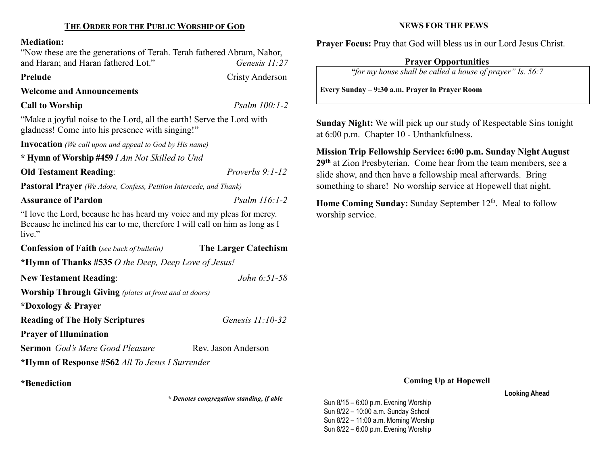## THE ORDER FOR THE PUBLIC WORSHIP OF GOD

#### Mediation:

"Now these are the generations of Terah. Terah fathered Abram, Nahor, and Haran; and Haran fathered Lot." Genesis 11:27

Prelude Cristy Anderson

Welcome and Announcements

# Call to Worship Psalm 100:1-2

"Make a joyful noise to the Lord, all the earth! Serve the Lord with gladness! Come into his presence with singing!"

Invocation (We call upon and appeal to God by His name)

\* Hymn of Worship #459 I Am Not Skilled to Und

Old Testament Reading: Proverbs 9:1-12

Pastoral Prayer (We Adore, Confess, Petition Intercede, and Thank)

#### Assurance of Pardon Psalm 116:1-2

"I love the Lord, because he has heard my voice and my pleas for mercy. Because he inclined his ear to me, therefore I will call on him as long as I live."

| <b>Confession of Faith</b> (see back of bulletin)            | <b>The Larger Catechism</b> |  |  |  |
|--------------------------------------------------------------|-----------------------------|--|--|--|
| *Hymn of Thanks #535 O the Deep, Deep Love of Jesus!         |                             |  |  |  |
| <b>New Testament Reading:</b>                                | <i>John</i> 6:51-58         |  |  |  |
| <b>Worship Through Giving</b> (plates at front and at doors) |                             |  |  |  |
| *Doxology & Prayer                                           |                             |  |  |  |
| <b>Reading of The Holy Scriptures</b>                        | Genesis $11:10-32$          |  |  |  |
| <b>Prayer of Illumination</b>                                |                             |  |  |  |
| <b>Sermon</b> God's Mere Good Pleasure                       | Rev. Jason Anderson         |  |  |  |
| *Hymn of Response #562 All To Jesus I Surrender              |                             |  |  |  |

\*Benediction

\* Denotes congregation standing, if able

#### NEWS FOR THE PEWS

Prayer Focus: Pray that God will bless us in our Lord Jesus Christ.

# Prayer Opportunities

"for my house shall be called a house of prayer" Is. 56:7

Every Sunday – 9:30 a.m. Prayer in Prayer Room

Sunday Night: We will pick up our study of Respectable Sins tonight at 6:00 p.m. Chapter 10 - Unthankfulness.

Mission Trip Fellowship Service: 6:00 p.m. Sunday Night August 29<sup>th</sup> at Zion Presbyterian. Come hear from the team members, see a slide show, and then have a fellowship meal afterwards. Bring something to share! No worship service at Hopewell that night.

Home Coming Sunday: Sunday September 12<sup>th</sup>. Meal to follow worship service.

Coming Up at Hopewell

Looking Ahead

Sun 8/15 – 6:00 p.m. Evening Worship Sun 8/22 – 10:00 a.m. Sunday School Sun 8/22 – 11:00 a.m. Morning Worship Sun 8/22 – 6:00 p.m. Evening Worship